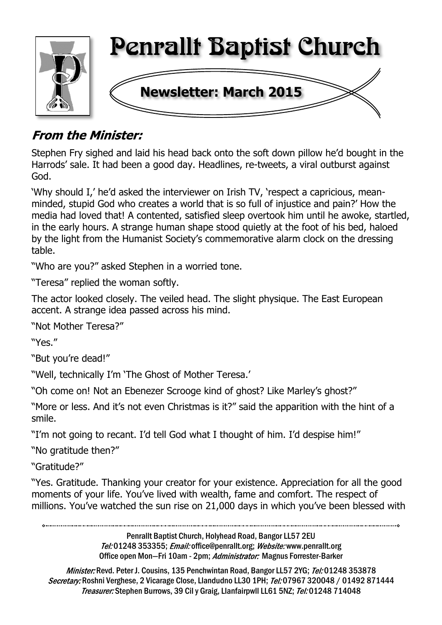

## **From the Minister:**

Stephen Fry sighed and laid his head back onto the soft down pillow he'd bought in the Harrods' sale. It had been a good day. Headlines, re-tweets, a viral outburst against God.

'Why should I,' he'd asked the interviewer on Irish TV, 'respect a capricious, meanminded, stupid God who creates a world that is so full of injustice and pain?' How the media had loved that! A contented, satisfied sleep overtook him until he awoke, startled, in the early hours. A strange human shape stood quietly at the foot of his bed, haloed by the light from the Humanist Society's commemorative alarm clock on the dressing table.

"Who are you?" asked Stephen in a worried tone.

"Teresa" replied the woman softly.

The actor looked closely. The veiled head. The slight physique. The East European accent. A strange idea passed across his mind.

"Not Mother Teresa?"

"Yes."

"But you're dead!"

"Well, technically I'm 'The Ghost of Mother Teresa.'

"Oh come on! Not an Ebenezer Scrooge kind of ghost? Like Marley's ghost?"

"More or less. And it's not even Christmas is it?" said the apparition with the hint of a smile.

"I'm not going to recant. I'd tell God what I thought of him. I'd despise him!"

"No gratitude then?"

"Gratitude?"

"Yes. Gratitude. Thanking your creator for your existence. Appreciation for all the good moments of your life. You've lived with wealth, fame and comfort. The respect of millions. You've watched the sun rise on 21,000 days in which you've been blessed with

> Penrallt Baptist Church, Holyhead Road, Bangor LL57 2EU Tel:01248 353355; Email: office@penrallt.org; Website: www.penrallt.org Office open Mon-Fri 10am - 2pm; Administrator: Magnus Forrester-Barker

Minister: Revd. Peter J. Cousins, 135 Penchwintan Road, Bangor LL57 2YG; Tel: 01248 353878 Secretary: Roshni Verghese, 2 Vicarage Close, Llandudno LL30 1PH; Tel: 07967 320048 / 01492 871444 Treasurer: Stephen Burrows, 39 Cil y Graig, Llanfairpwll LL61 5NZ; Tel: 01248 714048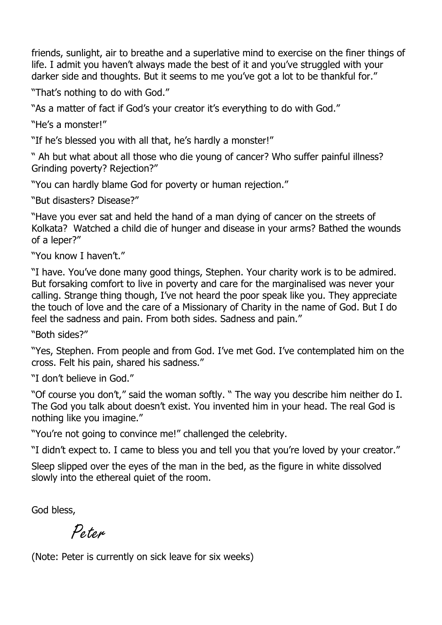friends, sunlight, air to breathe and a superlative mind to exercise on the finer things of life. I admit you haven't always made the best of it and you've struggled with your darker side and thoughts. But it seems to me you've got a lot to be thankful for."

"That's nothing to do with God."

"As a matter of fact if God's your creator it's everything to do with God."

"He's a monster!"

"If he's blessed you with all that, he's hardly a monster!"

" Ah but what about all those who die young of cancer? Who suffer painful illness? Grinding poverty? Rejection?"

"You can hardly blame God for poverty or human rejection."

"But disasters? Disease?"

"Have you ever sat and held the hand of a man dying of cancer on the streets of Kolkata? Watched a child die of hunger and disease in your arms? Bathed the wounds of a leper?"

"You know I haven't."

"I have. You've done many good things, Stephen. Your charity work is to be admired. But forsaking comfort to live in poverty and care for the marginalised was never your calling. Strange thing though, I've not heard the poor speak like you. They appreciate the touch of love and the care of a Missionary of Charity in the name of God. But I do feel the sadness and pain. From both sides. Sadness and pain."

"Both sides?"

"Yes, Stephen. From people and from God. I've met God. I've contemplated him on the cross. Felt his pain, shared his sadness."

"I don't believe in God."

"Of course you don't," said the woman softly. " The way you describe him neither do I. The God you talk about doesn't exist. You invented him in your head. The real God is nothing like you imagine."

"You're not going to convince me!" challenged the celebrity.

"I didn't expect to. I came to bless you and tell you that you're loved by your creator."

Sleep slipped over the eyes of the man in the bed, as the figure in white dissolved slowly into the ethereal quiet of the room.

God bless,

Poton

(Note: Peter is currently on sick leave for six weeks)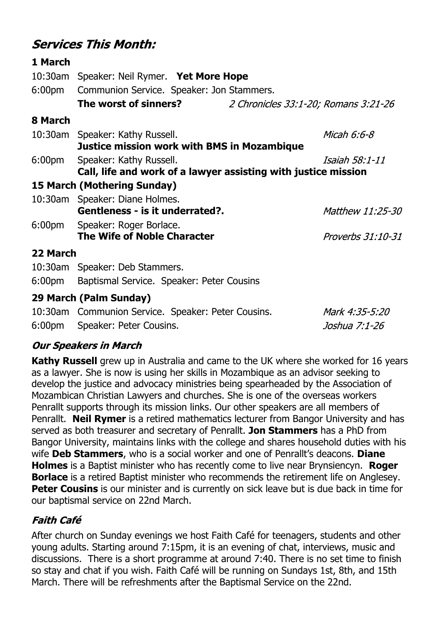### **Services This Month:**

| 1 March  |                                                                |                                      |                   |  |  |
|----------|----------------------------------------------------------------|--------------------------------------|-------------------|--|--|
| 10:30am  | Speaker: Neil Rymer. Yet More Hope                             |                                      |                   |  |  |
|          | 6:00pm Communion Service. Speaker: Jon Stammers.               |                                      |                   |  |  |
|          | The worst of sinners?                                          | 2 Chronicles 33:1-20; Romans 3:21-26 |                   |  |  |
| 8 March  |                                                                |                                      |                   |  |  |
|          | 10:30am Speaker: Kathy Russell.                                |                                      | Micah 6:6-8       |  |  |
|          | <b>Justice mission work with BMS in Mozambique</b>             |                                      |                   |  |  |
|          | 6:00pm Speaker: Kathy Russell.                                 |                                      | Isaiah 58:1-11    |  |  |
|          | Call, life and work of a lawyer assisting with justice mission |                                      |                   |  |  |
|          | <b>15 March (Mothering Sunday)</b>                             |                                      |                   |  |  |
|          | 10:30am Speaker: Diane Holmes.                                 |                                      |                   |  |  |
|          | Gentleness - is it underrated?.                                |                                      | Matthew 11:25-30  |  |  |
|          | 6:00pm Speaker: Roger Borlace.                                 |                                      |                   |  |  |
|          | The Wife of Noble Character                                    |                                      | Proverbs 31:10-31 |  |  |
| 22 March |                                                                |                                      |                   |  |  |
|          | 10:30am Speaker: Deb Stammers.                                 |                                      |                   |  |  |
|          | 6:00pm Baptismal Service. Speaker: Peter Cousins               |                                      |                   |  |  |
|          | 29 March (Palm Sunday)                                         |                                      |                   |  |  |
|          | 10:30am Communion Service. Speaker: Peter Cousins.             |                                      | Mark 4:35-5:20    |  |  |

6:00pm Speaker: Peter Cousins.

#### **Our Speakers in March**

**Kathy Russell** grew up in Australia and came to the UK where she worked for 16 years as a lawyer. She is now is using her skills in Mozambique as an advisor seeking to develop the justice and advocacy ministries being spearheaded by the Association of Mozambican Christian Lawyers and churches. She is one of the overseas workers Penrallt supports through its mission links. Our other speakers are all members of Penrallt. **Neil Rymer** is a retired mathematics lecturer from Bangor University and has served as both treasurer and secretary of Penrallt. **Jon Stammers** has a PhD from Bangor University, maintains links with the college and shares household duties with his wife **Deb Stammers**, who is a social worker and one of Penrallt's deacons. **Diane Holmes** is a Baptist minister who has recently come to live near Brynsiencyn. **Roger Borlace** is a retired Baptist minister who recommends the retirement life on Anglesey. **Peter Cousins** is our minister and is currently on sick leave but is due back in time for our baptismal service on 22nd March.

Joshua 7:1-26

#### **Faith Café**

After church on Sunday evenings we host Faith Café for teenagers, students and other young adults. Starting around 7:15pm, it is an evening of chat, interviews, music and discussions. There is a short programme at around 7:40. There is no set time to finish so stay and chat if you wish. Faith Café will be running on Sundays 1st, 8th, and 15th March. There will be refreshments after the Baptismal Service on the 22nd.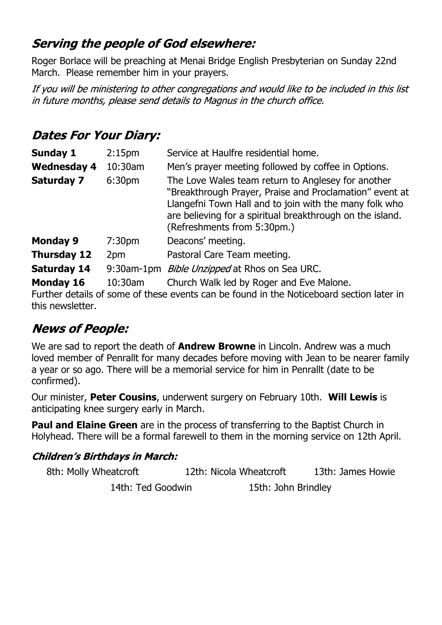### Serving the people of God elsewhere:

Roger Borlace will be preaching at Menai Bridge English Presbyterian on Sunday 22nd March. Please remember him in your prayers.

If you will be ministering to other congregations and would like to be included in this list in future months, please send details to Magnus in the church office.

### **Dates For Your Diary:**

| <b>Sunday 1</b>    | 2:15 <sub>pm</sub> | Service at Haulfre residential home.                                                                                                                                                                                                                                |  |
|--------------------|--------------------|---------------------------------------------------------------------------------------------------------------------------------------------------------------------------------------------------------------------------------------------------------------------|--|
| <b>Wednesday 4</b> | 10:30am            | Men's prayer meeting followed by coffee in Options.                                                                                                                                                                                                                 |  |
| <b>Saturday 7</b>  | 6:30 <sub>pm</sub> | The Love Wales team return to Anglesey for another<br>"Breakthrough Prayer, Praise and Proclamation" event at<br>Llangefni Town Hall and to join with the many folk who<br>are believing for a spiritual breakthrough on the island.<br>(Refreshments from 5:30pm.) |  |
| <b>Monday 9</b>    | 7:30 <sub>pm</sub> | Deacons' meeting.                                                                                                                                                                                                                                                   |  |
| <b>Thursday 12</b> | 2pm                | Pastoral Care Team meeting.                                                                                                                                                                                                                                         |  |
| <b>Saturday 14</b> | $9:30$ am-1 $pm$   | Bible Unzipped at Rhos on Sea URC.                                                                                                                                                                                                                                  |  |
| <b>Monday 16</b>   | 10:30am            | Church Walk led by Roger and Eve Malone.                                                                                                                                                                                                                            |  |

Further details of some of these events can be found in the Noticeboard section later in this newsletter.

## **News of People:**

We are sad to report the death of **Andrew Browne** in Lincoln. Andrew was a much loved member of Penrallt for many decades before moving with Jean to be nearer family a year or so ago. There will be a memorial service for him in Penrallt (date to be confirmed).

Our minister, **Peter Cousins**, underwent surgery on February 10th. **Will Lewis** is anticipating knee surgery early in March.

**Paul and Elaine Green** are in the process of transferring to the Baptist Church in Holyhead. There will be a formal farewell to them in the morning service on 12th April.

#### **Children's Birthdays in March:**

| 8th: Molly Wheatcroft | 12th: Nicola Wheatcroft | 13th: James Howie |
|-----------------------|-------------------------|-------------------|
| 14th: Ted Goodwin     | 15th: John Brindley     |                   |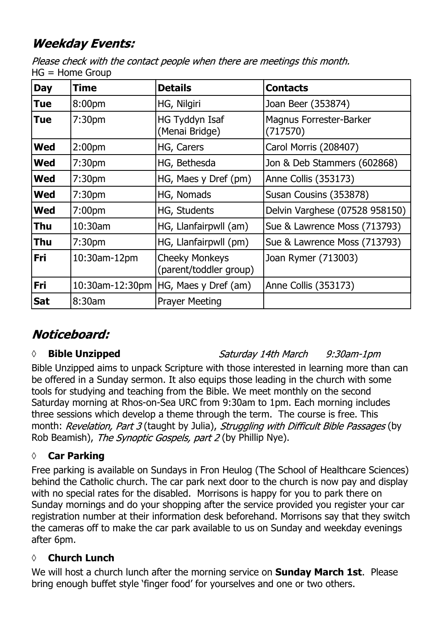## **Weekday Events:**

Please check with the contact people when there are meetings this month.  $HG = Home$  Group

| <b>Day</b> | Time               | <b>Details</b>                                  | <b>Contacts</b>                            |
|------------|--------------------|-------------------------------------------------|--------------------------------------------|
| <b>Tue</b> | 8:00pm             | HG, Nilgiri                                     | Joan Beer (353874)                         |
| <b>Tue</b> | 7:30 <sub>pm</sub> | HG Tyddyn Isaf<br>(Menai Bridge)                | <b>Magnus Forrester-Barker</b><br>(717570) |
| <b>Wed</b> | 2:00 <sub>pm</sub> | HG, Carers                                      | Carol Morris (208407)                      |
| <b>Wed</b> | 7:30 <sub>pm</sub> | HG, Bethesda                                    | Jon & Deb Stammers (602868)                |
| <b>Wed</b> | 7:30 <sub>pm</sub> | HG, Maes y Dref (pm)                            | Anne Collis (353173)                       |
| <b>Wed</b> | 7:30 <sub>pm</sub> | HG, Nomads                                      | Susan Cousins (353878)                     |
| <b>Wed</b> | 7:00 <sub>pm</sub> | HG, Students                                    | Delvin Varghese (07528 958150)             |
| Thu        | 10:30am            | HG, Llanfairpwll (am)                           | Sue & Lawrence Moss (713793)               |
| <b>Thu</b> | 7:30 <sub>pm</sub> | HG, Llanfairpwll (pm)                           | Sue & Lawrence Moss (713793)               |
| <b>Fri</b> | 10:30am-12pm       | <b>Cheeky Monkeys</b><br>(parent/toddler group) | Joan Rymer (713003)                        |
| Fri        | 10:30am-12:30pm    | HG, Maes y Dref (am)                            | Anne Collis (353173)                       |
| <b>Sat</b> | 8:30am             | <b>Prayer Meeting</b>                           |                                            |

## Noticeboard:

#### *◊* **Bible Unzipped**

Saturday 14th March 9:30am-1pm

Bible Unzipped aims to unpack Scripture with those interested in learning more than can be offered in a Sunday sermon. It also equips those leading in the church with some tools for studying and teaching from the Bible. We meet monthly on the second Saturday morning at Rhos-on-Sea URC from 9:30am to 1pm. Each morning includes three sessions which develop a theme through the term. The course is free. This month: Revelation, Part 3 (taught by Julia), Struggling with Difficult Bible Passages (by Rob Beamish), The Synoptic Gospels, part 2 (by Phillip Nye).

#### **◊ Car Parking**

Free parking is available on Sundays in Fron Heulog (The School of Healthcare Sciences) behind the Catholic church. The car park next door to the church is now pay and display with no special rates for the disabled. Morrisons is happy for you to park there on Sunday mornings and do your shopping after the service provided you register your car registration number at their information desk beforehand. Morrisons say that they switch the cameras off to make the car park available to us on Sunday and weekday evenings after 6pm.

#### **◊ Church Lunch**

We will host a church lunch after the morning service on **Sunday March 1st**. Please bring enough buffet style 'finger food' for yourselves and one or two others.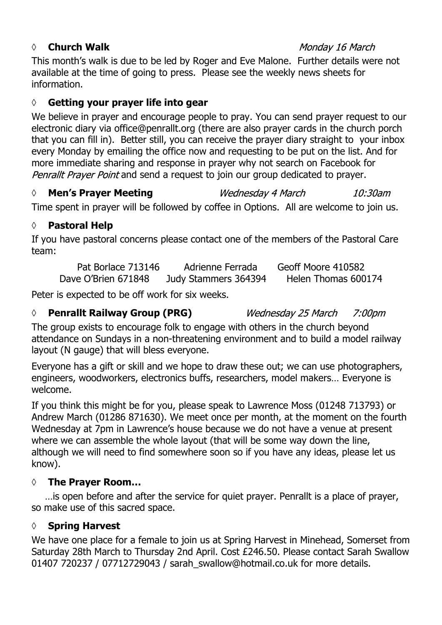#### *◊* **Church Walk**

#### Monday 16 March

This month's walk is due to be led by Roger and Eve Malone. Further details were not available at the time of going to press. Please see the weekly news sheets for information.

#### **◊ Getting your prayer life into gear**

We believe in prayer and encourage people to pray. You can send prayer request to our electronic diary via office@penrallt.org (there are also prayer cards in the church porch that you can fill in). Better still, you can receive the prayer diary straight to your inbox every Monday by emailing the office now and requesting to be put on the list. And for more immediate sharing and response in prayer why not search on Facebook for Penrallt Prayer Point and send a request to join our group dedicated to prayer.

*◊* **Men's Prayer Meeting** Wednesday 4 March  $10:30$ am

Time spent in prayer will be followed by coffee in Options. All are welcome to join us.

#### **◊ Pastoral Help**

If you have pastoral concerns please contact one of the members of the Pastoral Care team:

Pat Borlace 713146 Adrienne Ferrada Geoff Moore 410582 Dave O'Brien 671848 Judy Stammers 364394 Helen Thomas 600174

Peter is expected to be off work for six weeks.

#### *◊* **Penrallt Railway Group (PRG)**

Wednesday 25 March  $7:00$ pm

The group exists to encourage folk to engage with others in the church beyond attendance on Sundays in a non-threatening environment and to build a model railway layout (N gauge) that will bless everyone.

Everyone has a gift or skill and we hope to draw these out; we can use photographers, engineers, woodworkers, electronics buffs, researchers, model makers… Everyone is welcome.

If you think this might be for you, please speak to Lawrence Moss (01248 713793) or Andrew March (01286 871630). We meet once per month, at the moment on the fourth Wednesday at 7pm in Lawrence's house because we do not have a venue at present where we can assemble the whole layout (that will be some way down the line, although we will need to find somewhere soon so if you have any ideas, please let us know).

#### **◊ The Prayer Room…**

…is open before and after the service for quiet prayer. Penrallt is a place of prayer, so make use of this sacred space.

#### **◊ Spring Harvest**

We have one place for a female to join us at Spring Harvest in Minehead, Somerset from Saturday 28th March to Thursday 2nd April. Cost £246.50. Please contact Sarah Swallow 01407 720237 / 07712729043 / sarah\_swallow@hotmail.co.uk for more details.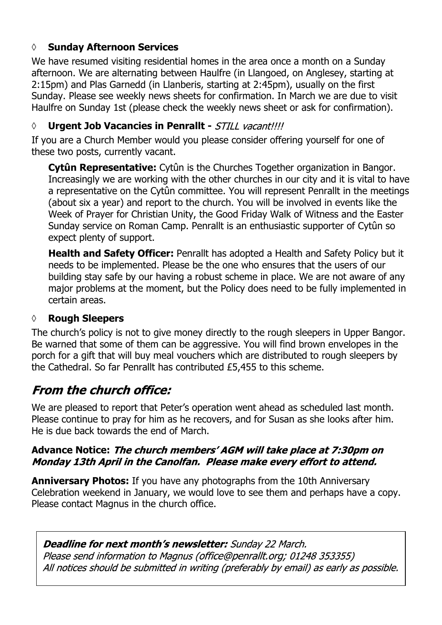#### **◊ Sunday Afternoon Services**

We have resumed visiting residential homes in the area once a month on a Sunday afternoon. We are alternating between Haulfre (in Llangoed, on Anglesey, starting at 2:15pm) and Plas Garnedd (in Llanberis, starting at 2:45pm), usually on the first Sunday. Please see weekly news sheets for confirmation. In March we are due to visit Haulfre on Sunday 1st (please check the weekly news sheet or ask for confirmation).

#### *◊* **Urgent Job Vacancies in Penrallt -**

If you are a Church Member would you please consider offering yourself for one of these two posts, currently vacant.

**Cytûn Representative:** Cytûn is the Churches Together organization in Bangor. Increasingly we are working with the other churches in our city and it is vital to have a representative on the Cytûn committee. You will represent Penrallt in the meetings (about six a year) and report to the church. You will be involved in events like the Week of Prayer for Christian Unity, the Good Friday Walk of Witness and the Easter Sunday service on Roman Camp. Penrallt is an enthusiastic supporter of Cytûn so expect plenty of support.

**Health and Safety Officer:** Penrallt has adopted a Health and Safety Policy but it needs to be implemented. Please be the one who ensures that the users of our building stay safe by our having a robust scheme in place. We are not aware of any major problems at the moment, but the Policy does need to be fully implemented in certain areas.

#### **◊ Rough Sleepers**

The church's policy is not to give money directly to the rough sleepers in Upper Bangor. Be warned that some of them can be aggressive. You will find brown envelopes in the porch for a gift that will buy meal vouchers which are distributed to rough sleepers by the Cathedral. So far Penrallt has contributed £5,455 to this scheme.

## **From the church office:**

We are pleased to report that Peter's operation went ahead as scheduled last month. Please continue to pray for him as he recovers, and for Susan as she looks after him. He is due back towards the end of March.

#### Advance Notice: The church members' AGM will take place at 7:30pm on Monday 13th April in the Canolfan. Please make every effort to attend.

**Anniversary Photos:** If you have any photographs from the 10th Anniversary Celebration weekend in January, we would love to see them and perhaps have a copy. Please contact Magnus in the church office.

#### **Deadline for next month's newsletter:** Sunday 22 March.

Please send information to Magnus (office@penrallt.org; 01248 353355) All notices should be submitted in writing (preferably by email) as early as possible.